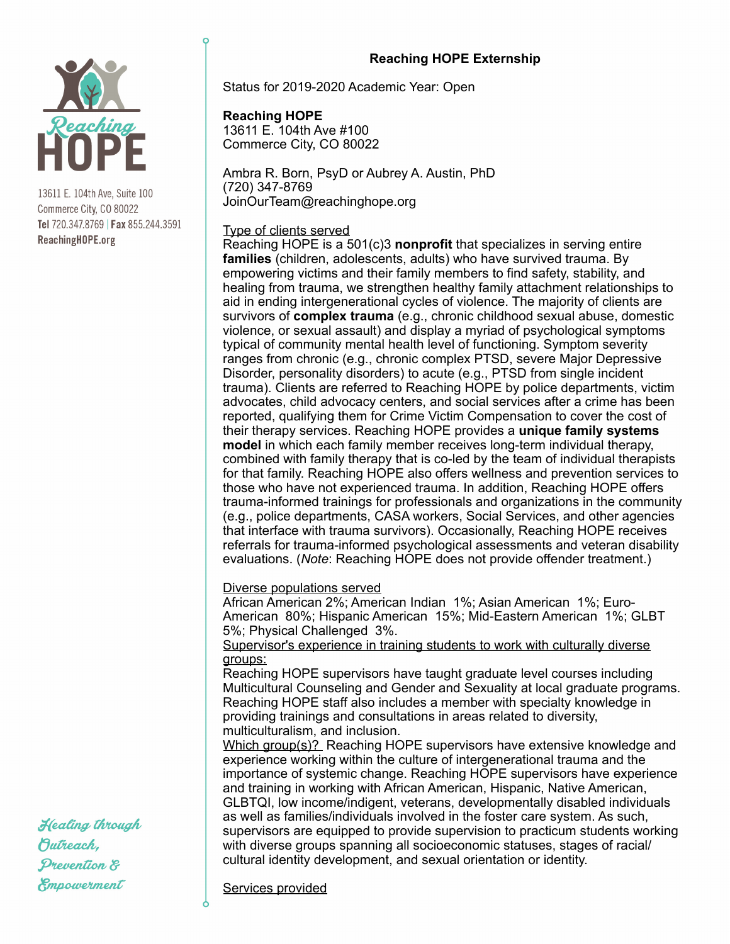

13611 E. 104th Ave, Suite 100 Commerce City, CO 80022 Tel 720.347.8769 | Fax 855.244.3591 ReachingHOPE.org

## **Reaching HOPE Externship**

Status for 2019-2020 Academic Year: Open

## **Reaching HOPE**

13611 E. 104th Ave #100 Commerce City, CO 80022

Ambra R. Born, PsyD or Aubrey A. Austin, PhD (720) 347-8769 JoinOurTeam@reachinghope.org

### Type of clients served

Reaching HOPE is a 501(c)3 **nonprofit** that specializes in serving entire **families** (children, adolescents, adults) who have survived trauma. By empowering victims and their family members to find safety, stability, and healing from trauma, we strengthen healthy family attachment relationships to aid in ending intergenerational cycles of violence. The majority of clients are survivors of **complex trauma** (e.g., chronic childhood sexual abuse, domestic violence, or sexual assault) and display a myriad of psychological symptoms typical of community mental health level of functioning. Symptom severity ranges from chronic (e.g., chronic complex PTSD, severe Major Depressive Disorder, personality disorders) to acute (e.g., PTSD from single incident trauma). Clients are referred to Reaching HOPE by police departments, victim advocates, child advocacy centers, and social services after a crime has been reported, qualifying them for Crime Victim Compensation to cover the cost of their therapy services. Reaching HOPE provides a **unique family systems model** in which each family member receives long-term individual therapy, combined with family therapy that is co-led by the team of individual therapists for that family. Reaching HOPE also offers wellness and prevention services to those who have not experienced trauma. In addition, Reaching HOPE offers trauma-informed trainings for professionals and organizations in the community (e.g., police departments, CASA workers, Social Services, and other agencies that interface with trauma survivors). Occasionally, Reaching HOPE receives referrals for trauma-informed psychological assessments and veteran disability evaluations. (*Note*: Reaching HOPE does not provide offender treatment.)

#### Diverse populations served

African American 2%; American Indian 1%; Asian American 1%; Euro-American 80%; Hispanic American 15%; Mid-Eastern American 1%; GLBT 5%; Physical Challenged 3%.

Supervisor's experience in training students to work with culturally diverse groups:

Reaching HOPE supervisors have taught graduate level courses including Multicultural Counseling and Gender and Sexuality at local graduate programs. Reaching HOPE staff also includes a member with specialty knowledge in providing trainings and consultations in areas related to diversity, multiculturalism, and inclusion.

Which group(s)? Reaching HOPE supervisors have extensive knowledge and experience working within the culture of intergenerational trauma and the importance of systemic change. Reaching HOPE supervisors have experience and training in working with African American, Hispanic, Native American, GLBTQI, low income/indigent, veterans, developmentally disabled individuals as well as families/individuals involved in the foster care system. As such, supervisors are equipped to provide supervision to practicum students working with diverse groups spanning all socioeconomic statuses, stages of racial/ cultural identity development, and sexual orientation or identity.

Services provided

Healing through Butreach, Prevention & Empowerment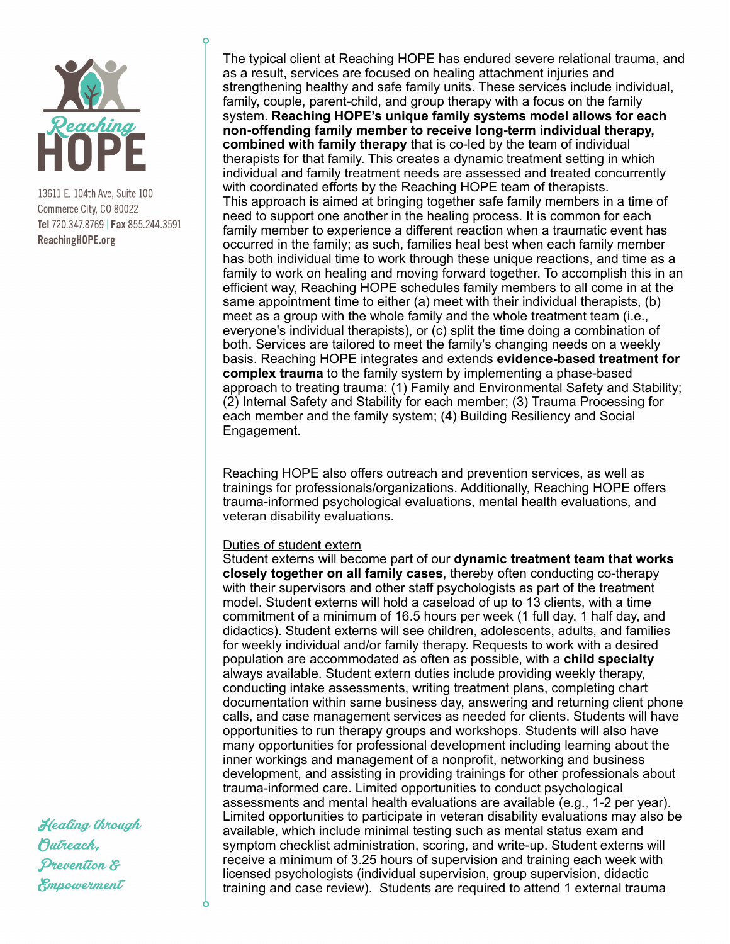

13611 E. 104th Ave, Suite 100 Commerce City, CO 80022 Tel 720.347.8769 | Fax 855.244.3591 ReachingHOPE.org

The typical client at Reaching HOPE has endured severe relational trauma, and as a result, services are focused on healing attachment injuries and strengthening healthy and safe family units. These services include individual, family, couple, parent-child, and group therapy with a focus on the family system. **Reaching HOPE's unique family systems model allows for each non-offending family member to receive long-term individual therapy, combined with family therapy** that is co-led by the team of individual therapists for that family. This creates a dynamic treatment setting in which individual and family treatment needs are assessed and treated concurrently with coordinated efforts by the Reaching HOPE team of therapists. This approach is aimed at bringing together safe family members in a time of need to support one another in the healing process. It is common for each family member to experience a different reaction when a traumatic event has occurred in the family; as such, families heal best when each family member has both individual time to work through these unique reactions, and time as a family to work on healing and moving forward together. To accomplish this in an efficient way, Reaching HOPE schedules family members to all come in at the same appointment time to either (a) meet with their individual therapists, (b) meet as a group with the whole family and the whole treatment team (i.e., everyone's individual therapists), or (c) split the time doing a combination of both. Services are tailored to meet the family's changing needs on a weekly basis. Reaching HOPE integrates and extends **evidence-based treatment for complex trauma** to the family system by implementing a phase-based approach to treating trauma: (1) Family and Environmental Safety and Stability; (2) Internal Safety and Stability for each member; (3) Trauma Processing for each member and the family system; (4) Building Resiliency and Social Engagement.

Reaching HOPE also offers outreach and prevention services, as well as trainings for professionals/organizations. Additionally, Reaching HOPE offers trauma-informed psychological evaluations, mental health evaluations, and veteran disability evaluations.

#### Duties of student extern

Student externs will become part of our **dynamic treatment team that works closely together on all family cases**, thereby often conducting co-therapy with their supervisors and other staff psychologists as part of the treatment model. Student externs will hold a caseload of up to 13 clients, with a time commitment of a minimum of 16.5 hours per week (1 full day, 1 half day, and didactics). Student externs will see children, adolescents, adults, and families for weekly individual and/or family therapy. Requests to work with a desired population are accommodated as often as possible, with a **child specialty** always available. Student extern duties include providing weekly therapy, conducting intake assessments, writing treatment plans, completing chart documentation within same business day, answering and returning client phone calls, and case management services as needed for clients. Students will have opportunities to run therapy groups and workshops. Students will also have many opportunities for professional development including learning about the inner workings and management of a nonprofit, networking and business development, and assisting in providing trainings for other professionals about trauma-informed care. Limited opportunities to conduct psychological assessments and mental health evaluations are available (e.g., 1-2 per year). Limited opportunities to participate in veteran disability evaluations may also be available, which include minimal testing such as mental status exam and symptom checklist administration, scoring, and write-up. Student externs will receive a minimum of 3.25 hours of supervision and training each week with licensed psychologists (individual supervision, group supervision, didactic training and case review). Students are required to attend 1 external trauma

Healing through Butreach, Prevention & Empowerment